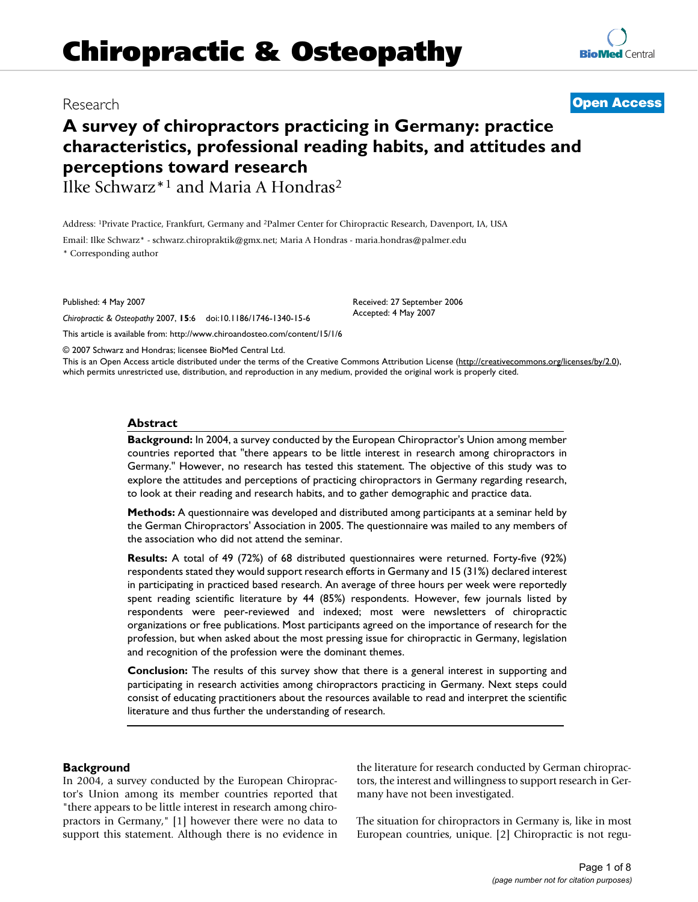# **Chiropractic & Osteopathy**

# **A survey of chiropractors practicing in Germany: practice characteristics, professional reading habits, and attitudes and perceptions toward research**

Ilke Schwarz\*1 and Maria A Hondras2

Address: 1Private Practice, Frankfurt, Germany and 2Palmer Center for Chiropractic Research, Davenport, IA, USA

Email: Ilke Schwarz\* - schwarz.chiropraktik@gmx.net; Maria A Hondras - maria.hondras@palmer.edu \* Corresponding author

Published: 4 May 2007

*Chiropractic & Osteopathy* 2007, **15**:6 doi:10.1186/1746-1340-15-6

[This article is available from: http://www.chiroandosteo.com/content/15/1/6](http://www.chiroandosteo.com/content/15/1/6)

© 2007 Schwarz and Hondras; licensee BioMed Central Ltd.

This is an Open Access article distributed under the terms of the Creative Commons Attribution License [\(http://creativecommons.org/licenses/by/2.0\)](http://creativecommons.org/licenses/by/2.0), which permits unrestricted use, distribution, and reproduction in any medium, provided the original work is properly cited.

### **Abstract**

**Background:** In 2004, a survey conducted by the European Chiropractor's Union among member countries reported that "there appears to be little interest in research among chiropractors in Germany." However, no research has tested this statement. The objective of this study was to explore the attitudes and perceptions of practicing chiropractors in Germany regarding research, to look at their reading and research habits, and to gather demographic and practice data.

**Methods:** A questionnaire was developed and distributed among participants at a seminar held by the German Chiropractors' Association in 2005. The questionnaire was mailed to any members of the association who did not attend the seminar.

**Results:** A total of 49 (72%) of 68 distributed questionnaires were returned. Forty-five (92%) respondents stated they would support research efforts in Germany and 15 (31%) declared interest in participating in practiced based research. An average of three hours per week were reportedly spent reading scientific literature by 44 (85%) respondents. However, few journals listed by respondents were peer-reviewed and indexed; most were newsletters of chiropractic organizations or free publications. Most participants agreed on the importance of research for the profession, but when asked about the most pressing issue for chiropractic in Germany, legislation and recognition of the profession were the dominant themes.

**Conclusion:** The results of this survey show that there is a general interest in supporting and participating in research activities among chiropractors practicing in Germany. Next steps could consist of educating practitioners about the resources available to read and interpret the scientific literature and thus further the understanding of research.

# **Background**

In 2004, a survey conducted by the European Chiropractor's Union among its member countries reported that "there appears to be little interest in research among chiropractors in Germany," [1] however there were no data to support this statement. Although there is no evidence in the literature for research conducted by German chiropractors, the interest and willingness to support research in Germany have not been investigated.

The situation for chiropractors in Germany is, like in most European countries, unique. [2] Chiropractic is not regu-



# Research **[Open Access](http://www.biomedcentral.com/info/about/charter/)**

Received: 27 September 2006 Accepted: 4 May 2007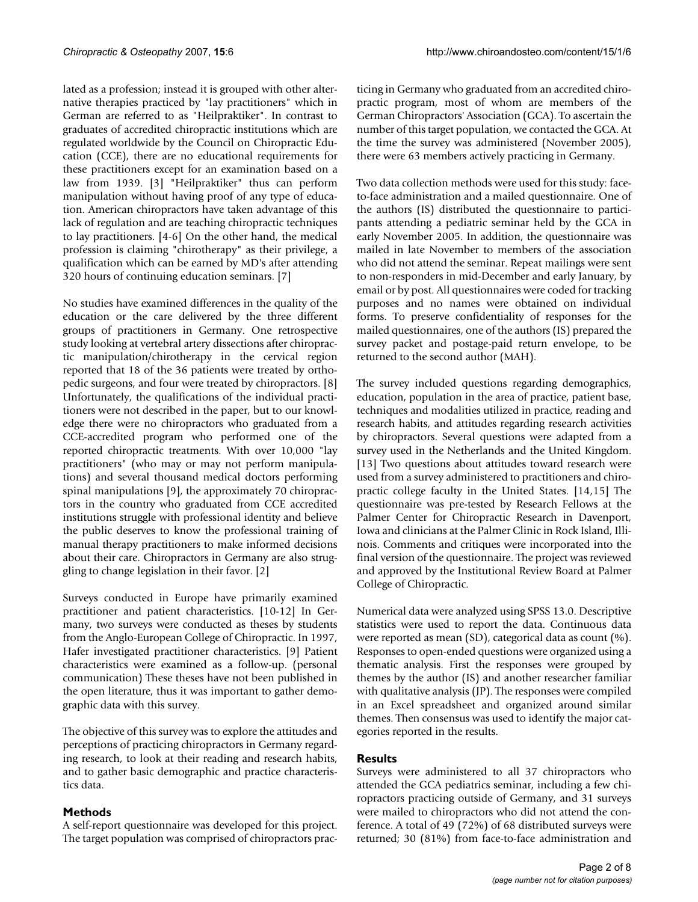lated as a profession; instead it is grouped with other alternative therapies practiced by "lay practitioners" which in German are referred to as "Heilpraktiker". In contrast to graduates of accredited chiropractic institutions which are regulated worldwide by the Council on Chiropractic Education (CCE), there are no educational requirements for these practitioners except for an examination based on a law from 1939. [3] "Heilpraktiker" thus can perform manipulation without having proof of any type of education. American chiropractors have taken advantage of this lack of regulation and are teaching chiropractic techniques to lay practitioners. [4-6] On the other hand, the medical profession is claiming "chirotherapy" as their privilege, a qualification which can be earned by MD's after attending 320 hours of continuing education seminars. [7]

No studies have examined differences in the quality of the education or the care delivered by the three different groups of practitioners in Germany. One retrospective study looking at vertebral artery dissections after chiropractic manipulation/chirotherapy in the cervical region reported that 18 of the 36 patients were treated by orthopedic surgeons, and four were treated by chiropractors. [8] Unfortunately, the qualifications of the individual practitioners were not described in the paper, but to our knowledge there were no chiropractors who graduated from a CCE-accredited program who performed one of the reported chiropractic treatments. With over 10,000 "lay practitioners" (who may or may not perform manipulations) and several thousand medical doctors performing spinal manipulations [9], the approximately 70 chiropractors in the country who graduated from CCE accredited institutions struggle with professional identity and believe the public deserves to know the professional training of manual therapy practitioners to make informed decisions about their care. Chiropractors in Germany are also struggling to change legislation in their favor. [2]

Surveys conducted in Europe have primarily examined practitioner and patient characteristics. [10-12] In Germany, two surveys were conducted as theses by students from the Anglo-European College of Chiropractic. In 1997, Hafer investigated practitioner characteristics. [9] Patient characteristics were examined as a follow-up. (personal communication) These theses have not been published in the open literature, thus it was important to gather demographic data with this survey.

The objective of this survey was to explore the attitudes and perceptions of practicing chiropractors in Germany regarding research, to look at their reading and research habits, and to gather basic demographic and practice characteristics data.

# **Methods**

A self-report questionnaire was developed for this project. The target population was comprised of chiropractors practicing in Germany who graduated from an accredited chiropractic program, most of whom are members of the German Chiropractors' Association (GCA). To ascertain the number of this target population, we contacted the GCA. At the time the survey was administered (November 2005), there were 63 members actively practicing in Germany.

Two data collection methods were used for this study: faceto-face administration and a mailed questionnaire. One of the authors (IS) distributed the questionnaire to participants attending a pediatric seminar held by the GCA in early November 2005. In addition, the questionnaire was mailed in late November to members of the association who did not attend the seminar. Repeat mailings were sent to non-responders in mid-December and early January, by email or by post. All questionnaires were coded for tracking purposes and no names were obtained on individual forms. To preserve confidentiality of responses for the mailed questionnaires, one of the authors (IS) prepared the survey packet and postage-paid return envelope, to be returned to the second author (MAH).

The survey included questions regarding demographics, education, population in the area of practice, patient base, techniques and modalities utilized in practice, reading and research habits, and attitudes regarding research activities by chiropractors. Several questions were adapted from a survey used in the Netherlands and the United Kingdom. [13] Two questions about attitudes toward research were used from a survey administered to practitioners and chiropractic college faculty in the United States. [14,15] The questionnaire was pre-tested by Research Fellows at the Palmer Center for Chiropractic Research in Davenport, Iowa and clinicians at the Palmer Clinic in Rock Island, Illinois. Comments and critiques were incorporated into the final version of the questionnaire. The project was reviewed and approved by the Institutional Review Board at Palmer College of Chiropractic.

Numerical data were analyzed using SPSS 13.0. Descriptive statistics were used to report the data. Continuous data were reported as mean (SD), categorical data as count (%). Responses to open-ended questions were organized using a thematic analysis. First the responses were grouped by themes by the author (IS) and another researcher familiar with qualitative analysis (JP). The responses were compiled in an Excel spreadsheet and organized around similar themes. Then consensus was used to identify the major categories reported in the results.

# **Results**

Surveys were administered to all 37 chiropractors who attended the GCA pediatrics seminar, including a few chiropractors practicing outside of Germany, and 31 surveys were mailed to chiropractors who did not attend the conference. A total of 49 (72%) of 68 distributed surveys were returned; 30 (81%) from face-to-face administration and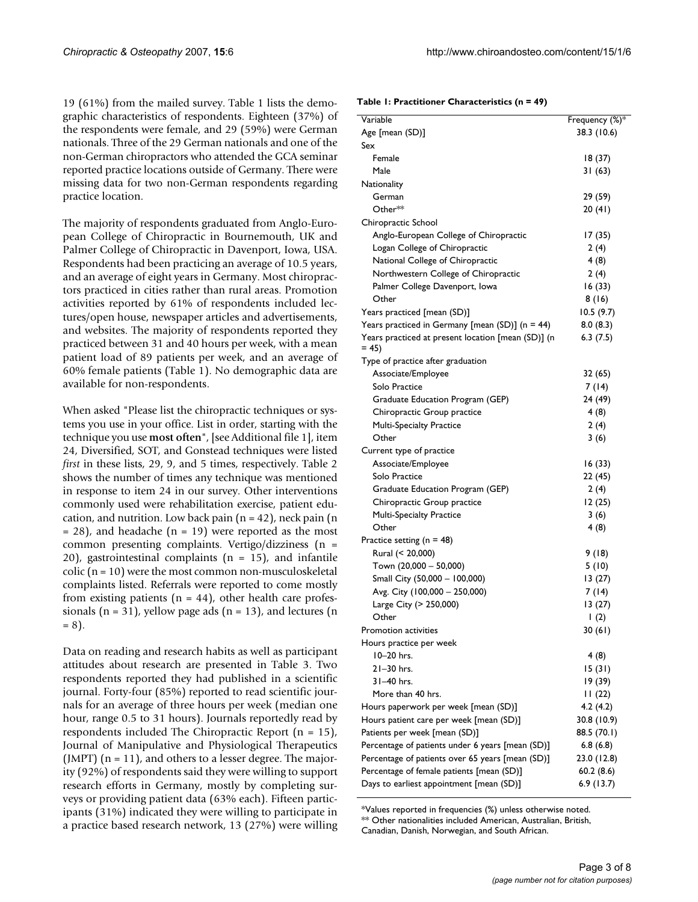19 (61%) from the mailed survey. Table 1 lists the demographic characteristics of respondents. Eighteen (37%) of the respondents were female, and 29 (59%) were German nationals. Three of the 29 German nationals and one of the non-German chiropractors who attended the GCA seminar reported practice locations outside of Germany. There were missing data for two non-German respondents regarding practice location.

The majority of respondents graduated from Anglo-European College of Chiropractic in Bournemouth, UK and Palmer College of Chiropractic in Davenport, Iowa, USA. Respondents had been practicing an average of 10.5 years, and an average of eight years in Germany. Most chiropractors practiced in cities rather than rural areas. Promotion activities reported by 61% of respondents included lectures/open house, newspaper articles and advertisements, and websites. The majority of respondents reported they practiced between 31 and 40 hours per week, with a mean patient load of 89 patients per week, and an average of 60% female patients (Table 1). No demographic data are available for non-respondents.

When asked "Please list the chiropractic techniques or systems you use in your office. List in order, starting with the technique you use **most often**", [see Additional file 1], item 24, Diversified, SOT, and Gonstead techniques were listed *first* in these lists, 29, 9, and 5 times, respectively. Table 2 shows the number of times any technique was mentioned in response to item 24 in our survey. Other interventions commonly used were rehabilitation exercise, patient education, and nutrition. Low back pain  $(n = 42)$ , neck pain  $(n = 42)$  $= 28$ ), and headache (n  $= 19$ ) were reported as the most common presenting complaints. Vertigo/dizziness (n = 20), gastrointestinal complaints ( $n = 15$ ), and infantile colic (n = 10) were the most common non-musculoskeletal complaints listed. Referrals were reported to come mostly from existing patients  $(n = 44)$ , other health care professionals ( $n = 31$ ), yellow page ads ( $n = 13$ ), and lectures ( $n = 13$ )  $= 8$ ).

Data on reading and research habits as well as participant attitudes about research are presented in Table 3. Two respondents reported they had published in a scientific journal. Forty-four (85%) reported to read scientific journals for an average of three hours per week (median one hour, range 0.5 to 31 hours). Journals reportedly read by respondents included The Chiropractic Report (n = 15), Journal of Manipulative and Physiological Therapeutics (JMPT)  $(n = 11)$ , and others to a lesser degree. The majority (92%) of respondents said they were willing to support research efforts in Germany, mostly by completing surveys or providing patient data (63% each). Fifteen participants (31%) indicated they were willing to participate in a practice based research network, 13 (27%) were willing

| Table 1: Practitioner Characteristics (n = 49) |  |
|------------------------------------------------|--|
|------------------------------------------------|--|

| Variable                                                     | Frequency (%)*   |
|--------------------------------------------------------------|------------------|
| Age [mean (SD)]                                              | 38.3 (10.6)      |
| Sex                                                          |                  |
| Female                                                       | 18 (37)          |
| Male                                                         | 31(63)           |
| Nationality                                                  |                  |
| German                                                       | 29 (59)          |
| Other**                                                      | 20 (41)          |
| Chiropractic School                                          |                  |
| Anglo-European College of Chiropractic                       | 17(35)           |
| Logan College of Chiropractic                                | 2(4)             |
| National College of Chiropractic                             | 4(8)             |
| Northwestern College of Chiropractic                         | 2(4)             |
| Palmer College Davenport, Iowa                               | 16(33)           |
| Other                                                        | 8(16)            |
| Years practiced [mean (SD)]                                  | 10.5(9.7)        |
| Years practiced in Germany [mean $(SD)$ ] (n = 44)           | 8.0(8.3)         |
| Years practiced at present location [mean (SD)] (n<br>$= 45$ | 6.3(7.5)         |
| Type of practice after graduation                            |                  |
| Associate/Employee                                           | 32 (65)          |
| Solo Practice                                                | 7 (14)           |
| Graduate Education Program (GEP)                             | 24 (49)          |
| Chiropractic Group practice                                  | 4 (8)            |
| <b>Multi-Specialty Practice</b>                              | 2 (4)            |
| Other                                                        | 3(6)             |
| Current type of practice                                     |                  |
| Associate/Employee                                           | 16(33)           |
| Solo Practice                                                | 22 (45)          |
| Graduate Education Program (GEP)                             | 2(4)             |
| Chiropractic Group practice                                  | 12 (25)          |
| Multi-Specialty Practice                                     | 3(6)             |
| Other                                                        | 4(8)             |
| Practice setting ( $n = 48$ )                                |                  |
| Rural (< 20,000)                                             | 9(18)            |
| Town (20,000 - 50,000)                                       | 5(10)            |
| Small City (50,000 - 100,000)                                | 13(27)           |
| Avg. City (100,000 - 250,000)                                | 7 (14)           |
| Large City (> 250,000)                                       | 13 (27)          |
| Other                                                        | $\mathsf{I}$ (2) |
| Promotion activities                                         | 30(61)           |
| Hours practice per week                                      |                  |
| 10-20 hrs.                                                   | 4(8)             |
| $21-30$ hrs.                                                 | 15(31)           |
| 31-40 hrs.                                                   | 19 (39)          |
| More than 40 hrs.                                            | 11(22)           |
| Hours paperwork per week [mean (SD)]                         | 4.2(4.2)         |
| Hours patient care per week [mean (SD)]                      | 30.8 (10.9)      |
| Patients per week [mean (SD)]                                | 88.5 (70.1)      |
| Percentage of patients under 6 years [mean (SD)]             | 6.8(6.8)         |
| Percentage of patients over 65 years [mean (SD)]             | 23.0 (12.8)      |
| Percentage of female patients [mean (SD)]                    | 60.2(8.6)        |
| Days to earliest appointment [mean (SD)]                     | 6.9(13.7)        |

\*Values reported in frequencies (%) unless otherwise noted. \*\* Other nationalities included American, Australian, British, Canadian, Danish, Norwegian, and South African.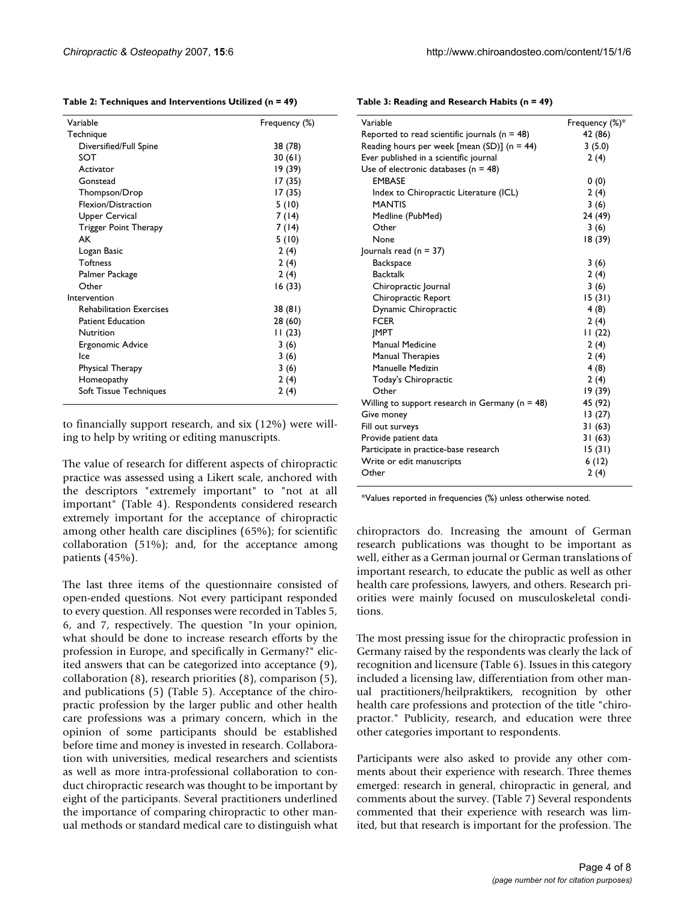**Table 2: Techniques and Interventions Utilized (n = 49)**

| Variable                        | Frequency (%) |
|---------------------------------|---------------|
| Technique                       |               |
| Diversified/Full Spine          | 38 (78)       |
| SOT                             | 30(61)        |
| Activator                       | 19 (39)       |
| Gonstead                        | 17 (35)       |
| Thompson/Drop                   | 17(35)        |
| Flexion/Distraction             | 5(10)         |
| Upper Cervical                  | 7(14)         |
| Trigger Point Therapy           | 7 (14)        |
| AK                              | 5(10)         |
| Logan Basic                     | 2(4)          |
| <b>Toftness</b>                 | 2(4)          |
| Palmer Package                  | 2(4)          |
| Other                           | 16(33)        |
| Intervention                    |               |
| <b>Rehabilitation Exercises</b> | 38 (81)       |
| <b>Patient Education</b>        | 28 (60)       |
| Nutrition                       | 11(23)        |
| Ergonomic Advice                | 3(6)          |
| lce                             | 3(6)          |
| Physical Therapy                | 3(6)          |
| Homeopathy                      | 2(4)          |
| Soft Tissue Techniques          | 2(4)          |
|                                 |               |

to financially support research, and six (12%) were willing to help by writing or editing manuscripts.

The value of research for different aspects of chiropractic practice was assessed using a Likert scale, anchored with the descriptors "extremely important" to "not at all important" (Table 4). Respondents considered research extremely important for the acceptance of chiropractic among other health care disciplines (65%); for scientific collaboration (51%); and, for the acceptance among patients (45%).

The last three items of the questionnaire consisted of open-ended questions. Not every participant responded to every question. All responses were recorded in Tables 5, 6, and 7, respectively. The question "In your opinion, what should be done to increase research efforts by the profession in Europe, and specifically in Germany?" elicited answers that can be categorized into acceptance (9), collaboration (8), research priorities (8), comparison (5), and publications (5) (Table 5). Acceptance of the chiropractic profession by the larger public and other health care professions was a primary concern, which in the opinion of some participants should be established before time and money is invested in research. Collaboration with universities, medical researchers and scientists as well as more intra-professional collaboration to conduct chiropractic research was thought to be important by eight of the participants. Several practitioners underlined the importance of comparing chiropractic to other manual methods or standard medical care to distinguish what

| Variable                                            | Frequency (%)* |
|-----------------------------------------------------|----------------|
| Reported to read scientific journals ( $n = 48$ )   | 42 (86)        |
| Reading hours per week [mean (SD)] ( $n = 44$ )     | 3(5.0)         |
| Ever published in a scientific journal              | 2(4)           |
| Use of electronic databases ( $n = 48$ )            |                |
| <b>EMBASE</b>                                       | 0(0)           |
| Index to Chiropractic Literature (ICL)              | 2(4)           |
| <b>MANTIS</b>                                       | 3(6)           |
| Medline (PubMed)                                    | 24 (49)        |
| Other                                               | 3(6)           |
| None                                                | 18 (39)        |
| Journals read ( $n = 37$ )                          |                |
| <b>Backspace</b>                                    | 3(6)           |
| <b>Backtalk</b>                                     | 2(4)           |
| Chiropractic Journal                                | 3(6)           |
| Chiropractic Report                                 | 15(31)         |
| Dynamic Chiropractic                                | 4(8)           |
| <b>FCER</b>                                         | 2(4)           |
| <b>IMPT</b>                                         | 11(22)         |
| Manual Medicine                                     | 2(4)           |
| Manual Therapies                                    | 2(4)           |
| Manuelle Medizin                                    | 4(8)           |
| Today's Chiropractic                                | 2(4)           |
| Other                                               | 19 (39)        |
| Willing to support research in Germany ( $n = 48$ ) | 45 (92)        |
| Give money                                          | 13(27)         |
| Fill out surveys                                    | 31 (63)        |
| Provide patient data                                | 31 (63)        |
| Participate in practice-base research               | 15(31)         |
| Write or edit manuscripts                           | 6(12)          |
| Other                                               | 2(4)           |

**Table 3: Reading and Research Habits (n = 49)**

\*Values reported in frequencies (%) unless otherwise noted.

chiropractors do. Increasing the amount of German research publications was thought to be important as well, either as a German journal or German translations of important research, to educate the public as well as other health care professions, lawyers, and others. Research priorities were mainly focused on musculoskeletal conditions.

The most pressing issue for the chiropractic profession in Germany raised by the respondents was clearly the lack of recognition and licensure (Table 6). Issues in this category included a licensing law, differentiation from other manual practitioners/heilpraktikers, recognition by other health care professions and protection of the title "chiropractor." Publicity, research, and education were three other categories important to respondents.

Participants were also asked to provide any other comments about their experience with research. Three themes emerged: research in general, chiropractic in general, and comments about the survey. (Table 7) Several respondents commented that their experience with research was limited, but that research is important for the profession. The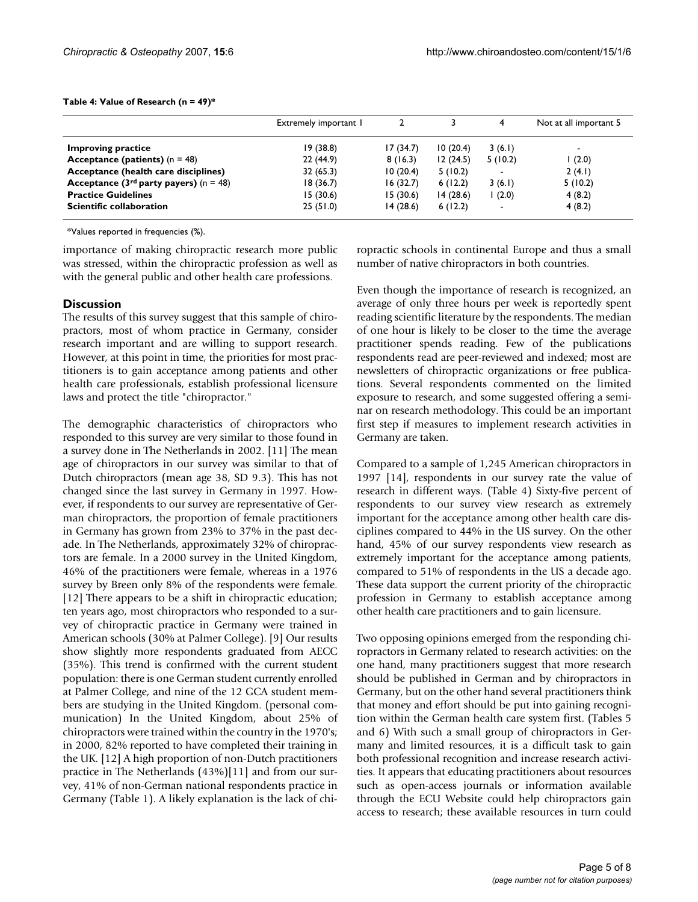|                                           | Extremely important I |          |          | 4       | Not at all important 5   |
|-------------------------------------------|-----------------------|----------|----------|---------|--------------------------|
| <b>Improving practice</b>                 | 19(38.8)              | 17(34.7) | 10(20.4) | 3(6.1)  | $\overline{\phantom{0}}$ |
| Acceptance (patients) $(n = 48)$          | 22(44.9)              | 8(16.3)  | 12(24.5) | 5(10.2) | (2.0)                    |
| Acceptance (health care disciplines)      | 32(65.3)              | 10(20.4) | 5(10.2)  |         | 2(4.1)                   |
| Acceptance ( $3rd$ party payers) (n = 48) | 18(36.7)              | 16(32.7) | 6(12.2)  | 3(6.1)  | 5(10.2)                  |
| <b>Practice Guidelines</b>                | 15(30.6)              | 15(30.6) | 14(28.6) | (2.0)   | 4(8.2)                   |
| Scientific collaboration                  | 25(51.0)              | 14(28.6) | 6(12.2)  | ۰       | 4(8.2)                   |

#### **Table 4: Value of Research (n = 49)\***

\*Values reported in frequencies (%).

importance of making chiropractic research more public was stressed, within the chiropractic profession as well as with the general public and other health care professions.

# **Discussion**

The results of this survey suggest that this sample of chiropractors, most of whom practice in Germany, consider research important and are willing to support research. However, at this point in time, the priorities for most practitioners is to gain acceptance among patients and other health care professionals, establish professional licensure laws and protect the title "chiropractor."

The demographic characteristics of chiropractors who responded to this survey are very similar to those found in a survey done in The Netherlands in 2002. [11] The mean age of chiropractors in our survey was similar to that of Dutch chiropractors (mean age 38, SD 9.3). This has not changed since the last survey in Germany in 1997. However, if respondents to our survey are representative of German chiropractors, the proportion of female practitioners in Germany has grown from 23% to 37% in the past decade. In The Netherlands, approximately 32% of chiropractors are female. In a 2000 survey in the United Kingdom, 46% of the practitioners were female, whereas in a 1976 survey by Breen only 8% of the respondents were female. [12] There appears to be a shift in chiropractic education; ten years ago, most chiropractors who responded to a survey of chiropractic practice in Germany were trained in American schools (30% at Palmer College). [9] Our results show slightly more respondents graduated from AECC (35%). This trend is confirmed with the current student population: there is one German student currently enrolled at Palmer College, and nine of the 12 GCA student members are studying in the United Kingdom. (personal communication) In the United Kingdom, about 25% of chiropractors were trained within the country in the 1970's; in 2000, 82% reported to have completed their training in the UK. [12] A high proportion of non-Dutch practitioners practice in The Netherlands (43%)[11] and from our survey, 41% of non-German national respondents practice in Germany (Table 1). A likely explanation is the lack of chiropractic schools in continental Europe and thus a small number of native chiropractors in both countries.

Even though the importance of research is recognized, an average of only three hours per week is reportedly spent reading scientific literature by the respondents. The median of one hour is likely to be closer to the time the average practitioner spends reading. Few of the publications respondents read are peer-reviewed and indexed; most are newsletters of chiropractic organizations or free publications. Several respondents commented on the limited exposure to research, and some suggested offering a seminar on research methodology. This could be an important first step if measures to implement research activities in Germany are taken.

Compared to a sample of 1,245 American chiropractors in 1997 [14], respondents in our survey rate the value of research in different ways. (Table 4) Sixty-five percent of respondents to our survey view research as extremely important for the acceptance among other health care disciplines compared to 44% in the US survey. On the other hand, 45% of our survey respondents view research as extremely important for the acceptance among patients, compared to 51% of respondents in the US a decade ago. These data support the current priority of the chiropractic profession in Germany to establish acceptance among other health care practitioners and to gain licensure.

Two opposing opinions emerged from the responding chiropractors in Germany related to research activities: on the one hand, many practitioners suggest that more research should be published in German and by chiropractors in Germany, but on the other hand several practitioners think that money and effort should be put into gaining recognition within the German health care system first. (Tables 5 and 6) With such a small group of chiropractors in Germany and limited resources, it is a difficult task to gain both professional recognition and increase research activities. It appears that educating practitioners about resources such as open-access journals or information available through the ECU Website could help chiropractors gain access to research; these available resources in turn could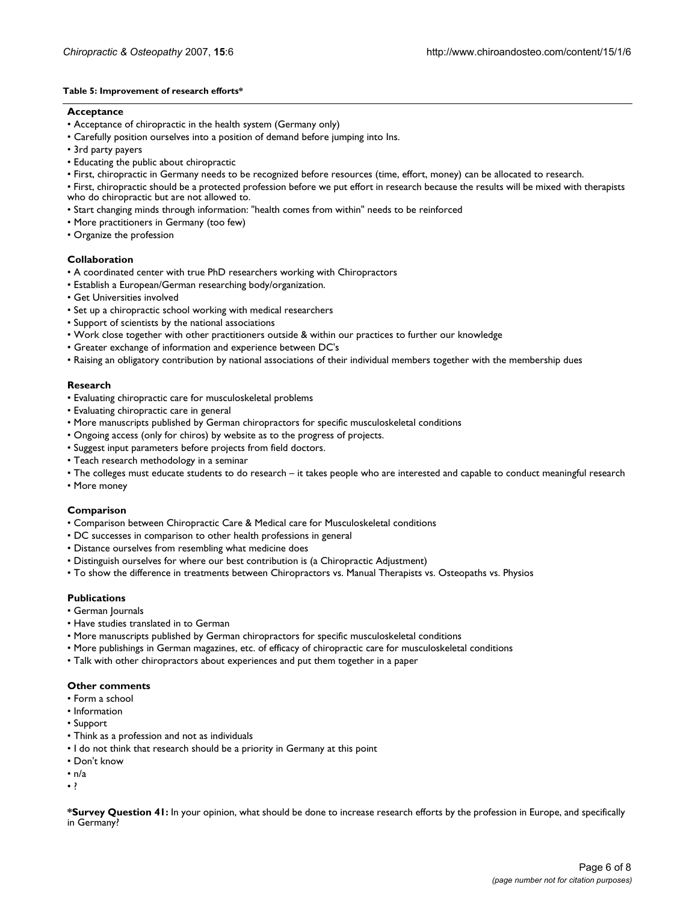#### **Table 5: Improvement of research efforts\***

#### **Acceptance**

- Acceptance of chiropractic in the health system (Germany only)
- Carefully position ourselves into a position of demand before jumping into Ins.
- 3rd party payers
- Educating the public about chiropractic
- First, chiropractic in Germany needs to be recognized before resources (time, effort, money) can be allocated to research.

• First, chiropractic should be a protected profession before we put effort in research because the results will be mixed with therapists who do chiropractic but are not allowed to.

- Start changing minds through information: "health comes from within" needs to be reinforced
- More practitioners in Germany (too few)
- Organize the profession

#### **Collaboration**

- A coordinated center with true PhD researchers working with Chiropractors
- Establish a European/German researching body/organization.
- Get Universities involved
- Set up a chiropractic school working with medical researchers
- Support of scientists by the national associations
- Work close together with other practitioners outside & within our practices to further our knowledge
- Greater exchange of information and experience between DC's
- Raising an obligatory contribution by national associations of their individual members together with the membership dues

### **Research**

- Evaluating chiropractic care for musculoskeletal problems
- Evaluating chiropractic care in general
- More manuscripts published by German chiropractors for specific musculoskeletal conditions
- Ongoing access (only for chiros) by website as to the progress of projects.
- Suggest input parameters before projects from field doctors.
- Teach research methodology in a seminar
- The colleges must educate students to do research it takes people who are interested and capable to conduct meaningful research
- More money

#### **Comparison**

- Comparison between Chiropractic Care & Medical care for Musculoskeletal conditions
- DC successes in comparison to other health professions in general
- Distance ourselves from resembling what medicine does
- Distinguish ourselves for where our best contribution is (a Chiropractic Adjustment)
- To show the difference in treatments between Chiropractors vs. Manual Therapists vs. Osteopaths vs. Physios

#### **Publications**

- German Journals
- Have studies translated in to German
- More manuscripts published by German chiropractors for specific musculoskeletal conditions
- More publishings in German magazines, etc. of efficacy of chiropractic care for musculoskeletal conditions
- Talk with other chiropractors about experiences and put them together in a paper

#### **Other comments**

- Form a school
- Information
- Support
- Think as a profession and not as individuals
- I do not think that research should be a priority in Germany at this point
- Don't know
- $\cdot$  n/a
- ?

**<sup>\*</sup>Survey Question 41:** In your opinion, what should be done to increase research efforts by the profession in Europe, and specifically in Germany?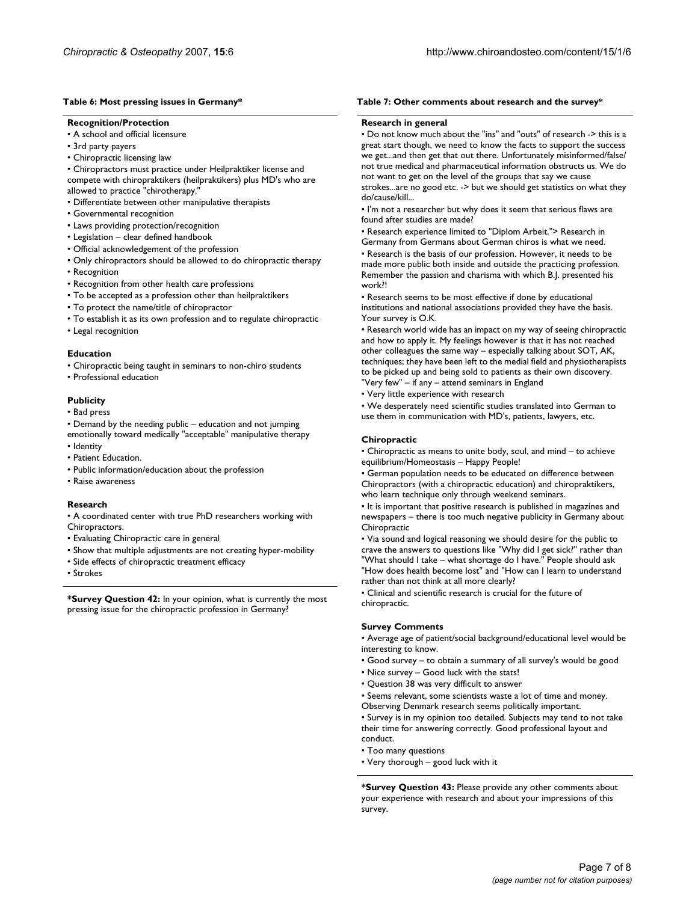#### **Table 6: Most pressing issues in Germany\***

#### **Recognition/Protection**

- A school and official licensure
- 3rd party payers
- Chiropractic licensing law
- Chiropractors must practice under Heilpraktiker license and compete with chiropraktikers (heilpraktikers) plus MD's who are allowed to practice "chirotherapy.
- Differentiate between other manipulative therapists
- Governmental recognition
- Laws providing protection/recognition
- Legislation clear defined handbook
- Official acknowledgement of the profession
- Only chiropractors should be allowed to do chiropractic therapy
- Recognition
- Recognition from other health care professions
- To be accepted as a profession other than heilpraktikers
- To protect the name/title of chiropractor
- To establish it as its own profession and to regulate chiropractic
- Legal recognition

#### **Education**

• Chiropractic being taught in seminars to non-chiro students

• Professional education

#### **Publicity**

• Bad press

- Demand by the needing public education and not jumping
- emotionally toward medically "acceptable" manipulative therapy • Identity
- Patient Education.
- Public information/education about the profession
- Raise awareness

#### **Research**

• A coordinated center with true PhD researchers working with Chiropractors.

- Evaluating Chiropractic care in general
- Show that multiple adjustments are not creating hyper-mobility
- Side effects of chiropractic treatment efficacy
- Strokes

**\*Survey Question 42:** In your opinion, what is currently the most pressing issue for the chiropractic profession in Germany?

#### **Table 7: Other comments about research and the survey\***

#### **Research in general**

• Do not know much about the "ins" and "outs" of research -> this is a great start though, we need to know the facts to support the success we get...and then get that out there. Unfortunately misinformed/false/ not true medical and pharmaceutical information obstructs us. We do not want to get on the level of the groups that say we cause strokes...are no good etc. -> but we should get statistics on what they do/cause/kill...

• I'm not a researcher but why does it seem that serious flaws are found after studies are made?

• Research experience limited to "Diplom Arbeit."> Research in Germany from Germans about German chiros is what we need.

• Research is the basis of our profession. However, it needs to be made more public both inside and outside the practicing profession. Remember the passion and charisma with which B.J. presented his work?!

• Research seems to be most effective if done by educational institutions and national associations provided they have the basis. Your survey is O.K.

• Research world wide has an impact on my way of seeing chiropractic and how to apply it. My feelings however is that it has not reached other colleagues the same way – especially talking about SOT, AK, techniques; they have been left to the medial field and physiotherapists to be picked up and being sold to patients as their own discovery. "Very few" – if any – attend seminars in England

• Very little experience with research

• We desperately need scientific studies translated into German to use them in communication with MD's, patients, lawyers, etc.

#### **Chiropractic**

• Chiropractic as means to unite body, soul, and mind – to achieve equilibrium/Homeostasis – Happy People!

• German population needs to be educated on difference between Chiropractors (with a chiropractic education) and chiropraktikers, who learn technique only through weekend seminars.

• It is important that positive research is published in magazines and newspapers – there is too much negative publicity in Germany about Chiropractic

• Via sound and logical reasoning we should desire for the public to crave the answers to questions like "Why did I get sick?" rather than "What should I take – what shortage do I have." People should ask "How does health become lost" and "How can I learn to understand rather than not think at all more clearly?

• Clinical and scientific research is crucial for the future of chiropractic.

#### **Survey Comments**

• Average age of patient/social background/educational level would be interesting to know.

- Good survey to obtain a summary of all survey's would be good
- Nice survey Good luck with the stats!
- Question 38 was very difficult to answer
- Seems relevant, some scientists waste a lot of time and money. Observing Denmark research seems politically important.

• Survey is in my opinion too detailed. Subjects may tend to not take their time for answering correctly. Good professional layout and conduct.

- Too many questions
- Very thorough good luck with it

**\*Survey Question 43:** Please provide any other comments about your experience with research and about your impressions of this survey.